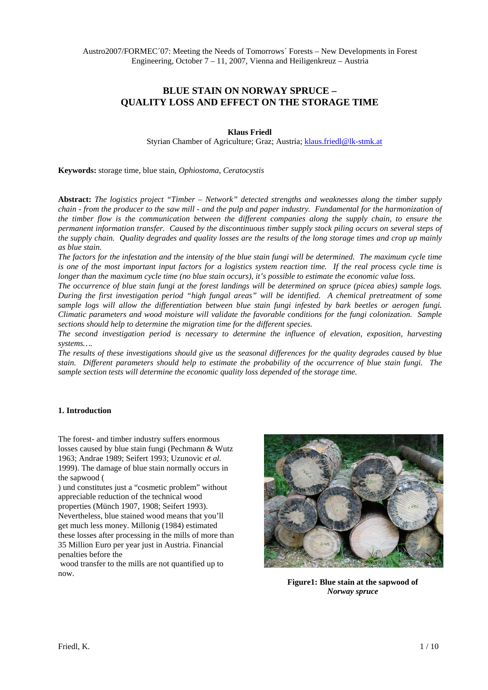# **BLUE STAIN ON NORWAY SPRUCE – QUALITY LOSS AND EFFECT ON THE STORAGE TIME**

# **Klaus Friedl**

Styrian Chamber of Agriculture; Graz; Austria; [klaus.friedl@lk-stmk.at](mailto:klaus.friedl@lk-stmk.at)

**Keywords:** storage time, blue stain, *Ophiostoma*, *Ceratocystis*

**Abstract:** *The logistics project "Timber – Network" detected strengths and weaknesses along the timber supply chain - from the producer to the saw mill - and the pulp and paper industry. Fundamental for the harmonization of the timber flow is the communication between the different companies along the supply chain, to ensure the permanent information transfer. Caused by the discontinuous timber supply stock piling occurs on several steps of the supply chain. Quality degrades and quality losses are the results of the long storage times and crop up mainly as blue stain.* 

*The factors for the infestation and the intensity of the blue stain fungi will be determined. The maximum cycle time is one of the most important input factors for a logistics system reaction time. If the real process cycle time is longer than the maximum cycle time (no blue stain occurs), it's possible to estimate the economic value loss.* 

*The occurrence of blue stain fungi at the forest landings will be determined on spruce (picea abies) sample logs. During the first investigation period "high fungal areas" will be identified. A chemical pretreatment of some sample logs will allow the differentiation between blue stain fungi infested by bark beetles or aerogen fungi. Climatic parameters and wood moisture will validate the favorable conditions for the fungi colonization. Sample sections should help to determine the migration time for the different species.* 

*The second investigation period is necessary to determine the influence of elevation, exposition, harvesting systems….* 

*The results of these investigations should give us the seasonal differences for the quality degrades caused by blue stain. Different parameters should help to estimate the probability of the occurrence of blue stain fungi. The sample section tests will determine the economic quality loss depended of the storage time.* 

# **1. Introduction**

The forest- and timber industry suffers enormous losses caused by blue stain fungi (Pechmann & Wutz 1963; Andrae 1989; Seifert 1993; Uzunovic *et al.* 1999). The damage of blue stain normally occurs in the sapwood [\(](#page-0-0)

) und constitutes just a "cosmetic problem" without appreciable reduction of the technical wood properties (Münch 1907, 1908; Seifert 1993). Nevertheless, blue stained wood means that you'll get much less money. Millonig (1984) estimated these losses after processing in the mills of more than 35 Million Euro per year just in Austria. Financial penalties before the

<span id="page-0-0"></span> wood transfer to the mills are not quantified up to now.



**Figure1: Blue stain at the sapwood of**  *Norway spruce*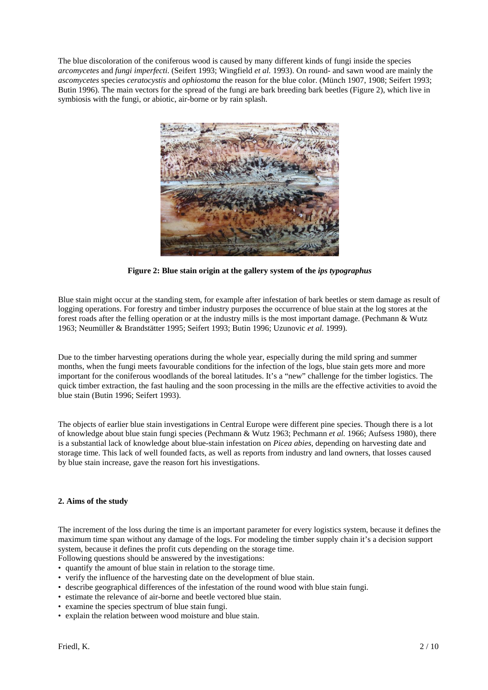The blue discoloration of the coniferous wood is caused by many different kinds of fungi inside the species *arcomycetes* and *fungi imperfecti*. (Seifert 1993; Wingfield *et al.* 1993). On round- and sawn wood are mainly the *ascomycetes* species *ceratocystis* and *ophiostoma* the reason for the blue color. (Münch 1907, 1908; Seifert 1993; Butin 1996). The main vectors for the spread of the fungi are bark breeding bark beetles [\(Figure 2](#page-1-0)), which live in symbiosis with the fungi, or abiotic, air-borne or by rain splash.



**Figure 2: Blue stain origin at the gallery system of the** *ips typographus*

<span id="page-1-0"></span>Blue stain might occur at the standing stem, for example after infestation of bark beetles or stem damage as result of logging operations. For forestry and timber industry purposes the occurrence of blue stain at the log stores at the forest roads after the felling operation or at the industry mills is the most important damage. (Pechmann & Wutz 1963; Neumüller & Brandstätter 1995; Seifert 1993; Butin 1996; Uzunovic *et al.* 1999).

Due to the timber harvesting operations during the whole year, especially during the mild spring and summer months, when the fungi meets favourable conditions for the infection of the logs, blue stain gets more and more important for the coniferous woodlands of the boreal latitudes. It's a "new" challenge for the timber logistics. The quick timber extraction, the fast hauling and the soon processing in the mills are the effective activities to avoid the blue stain (Butin 1996; Seifert 1993).

The objects of earlier blue stain investigations in Central Europe were different pine species. Though there is a lot of knowledge about blue stain fungi species (Pechmann & Wutz 1963; Pechmann *et al.* 1966; Aufsess 1980), there is a substantial lack of knowledge about blue-stain infestation on *Picea abies*, depending on harvesting date and storage time. This lack of well founded facts, as well as reports from industry and land owners, that losses caused by blue stain increase, gave the reason fort his investigations.

# **2. Aims of the study**

The increment of the loss during the time is an important parameter for every logistics system, because it defines the maximum time span without any damage of the logs. For modeling the timber supply chain it's a decision support system, because it defines the profit cuts depending on the storage time.

Following questions should be answered by the investigations:

- quantify the amount of blue stain in relation to the storage time.
- verify the influence of the harvesting date on the development of blue stain.
- describe geographical differences of the infestation of the round wood with blue stain fungi.
- estimate the relevance of air-borne and beetle vectored blue stain.
- examine the species spectrum of blue stain fungi.
- explain the relation between wood moisture and blue stain.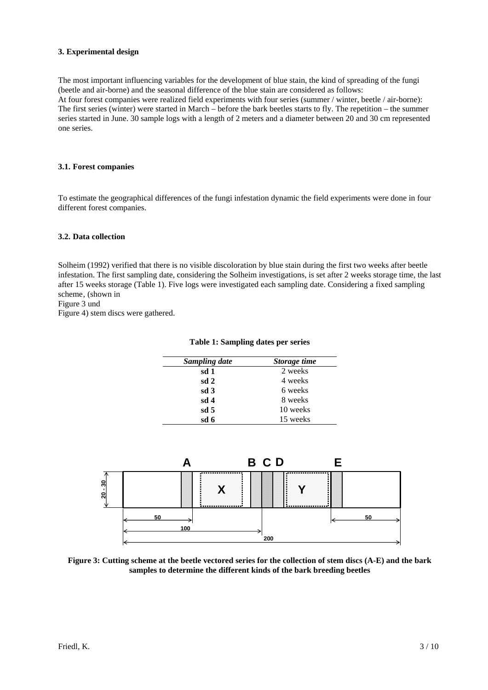# **3. Experimental design**

The most important influencing variables for the development of blue stain, the kind of spreading of the fungi (beetle and air-borne) and the seasonal difference of the blue stain are considered as follows: At four forest companies were realized field experiments with four series (summer / winter, beetle / air-borne): The first series (winter) were started in March – before the bark beetles starts to fly. The repetition – the summer series started in June. 30 sample logs with a length of 2 meters and a diameter between 20 and 30 cm represented one series.

# **3.1. Forest companies**

To estimate the geographical differences of the fungi infestation dynamic the field experiments were done in four different forest companies.

# **3.2. Data collection**

Solheim (1992) verified that there is no visible discoloration by blue stain during the first two weeks after beetle infestation. The first sampling date, considering the Solheim investigations, is set after 2 weeks storage time, the last after 15 weeks storage ([Table 1](#page-2-0)). Five logs were investigated each sampling date. Considering a fixed sampling scheme,(shown in

Figure 3 und

<span id="page-2-0"></span>Figure 4) stem discs were gathered.

| Sampling date   | Storage time |
|-----------------|--------------|
| sd 1            | 2 weeks      |
| sd <sub>2</sub> | 4 weeks      |
| sd <sub>3</sub> | 6 weeks      |
| sd <sub>4</sub> | 8 weeks      |
| sd <sub>5</sub> | 10 weeks     |
| sd 6            | 15 weeks     |

**Table 1: Sampling dates per series** 



<span id="page-2-1"></span>**Figure 3: Cutting scheme at the beetle vectored series for the collection of stem discs (A-E) and the bark samples to determine the different kinds of the bark breeding beetles**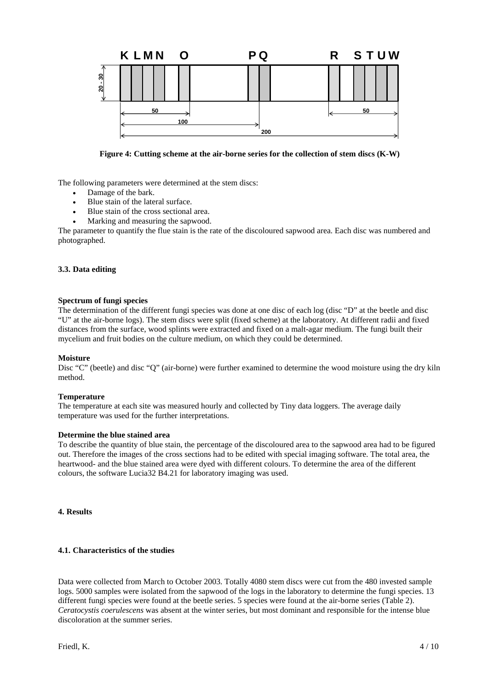

**Figure 4: Cutting scheme at the air-borne series for the collection of stem discs (K-W)** 

The following parameters were determined at the stem discs:

- Damage of the bark.
- Blue stain of the lateral surface.
- Blue stain of the cross sectional area.
- Marking and measuring the sapwood.

The parameter to quantify the flue stain is the rate of the discoloured sapwood area. Each disc was numbered and photographed.

# **3.3. Data editing**

### **Spectrum of fungi species**

The determination of the different fungi species was done at one disc of each log (disc "D" at the beetle and disc "U" at the air-borne logs). The stem discs were split (fixed scheme) at the laboratory. At different radii and fixed distances from the surface, wood splints were extracted and fixed on a malt-agar medium. The fungi built their mycelium and fruit bodies on the culture medium, on which they could be determined.

#### **Moisture**

Disc "C" (beetle) and disc "O" (air-borne) were further examined to determine the wood moisture using the dry kiln method.

# **Temperature**

The temperature at each site was measured hourly and collected by Tiny data loggers. The average daily temperature was used for the further interpretations.

#### **Determine the blue stained area**

To describe the quantity of blue stain, the percentage of the discoloured area to the sapwood area had to be figured out. Therefore the images of the cross sections had to be edited with special imaging software. The total area, the heartwood- and the blue stained area were dyed with different colours. To determine the area of the different colours, the software Lucia32 B4.21 for laboratory imaging was used.

### **4. Results**

# **4.1. Characteristics of the studies**

Data were collected from March to October 2003. Totally 4080 stem discs were cut from the 480 invested sample logs. 5000 samples were isolated from the sapwood of the logs in the laboratory to determine the fungi species. 13 different fungi species were found at the beetle series. 5 species were found at the air-borne series (Table 2). *Ceratocystis coerulescens* was absent at the winter series, but most dominant and responsible for the intense blue discoloration at the summer series.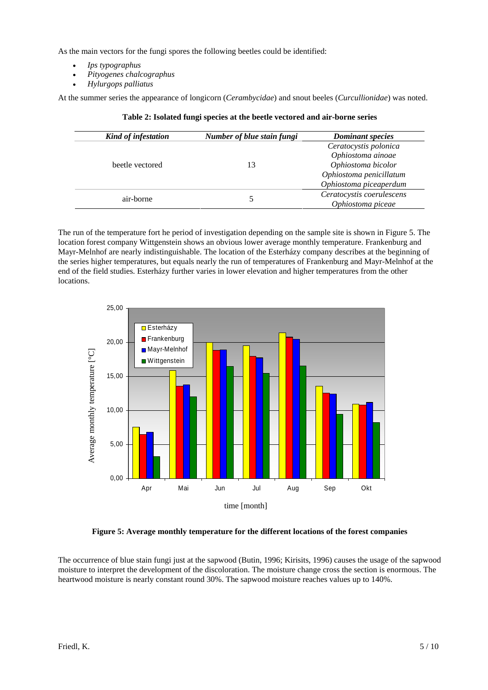As the main vectors for the fungi spores the following beetles could be identified:

- *Ips typographus*
- *Pityogenes chalcographus*
- *Hylurgops palliatus*

At the summer series the appearance of longicorn (*Cerambycidae*) and snout beeles (*Curcullionidae*) was noted.

| Kind of infestation | Number of blue stain fungi | <b>Dominant species</b>                                                                                               |
|---------------------|----------------------------|-----------------------------------------------------------------------------------------------------------------------|
| beetle vectored     | 13                         | Ceratocystis polonica<br>Ophiostoma ainoae<br>Ophiostoma bicolor<br>Ophiostoma penicillatum<br>Ophiostoma piceaperdum |
| air-borne           |                            | Ceratocystis coerulescens<br>Ophiostoma piceae                                                                        |

|  |  |  | Table 2: Isolated fungi species at the beetle vectored and air-borne series |
|--|--|--|-----------------------------------------------------------------------------|
|--|--|--|-----------------------------------------------------------------------------|

The run of the temperature fort he period of investigation depending on the sample site is shown in Figure 5. The location forest company Wittgenstein shows an obvious lower average monthly temperature. Frankenburg and Mayr-Melnhof are nearly indistinguishable. The location of the Esterházy company describes at the beginning of the series higher temperatures, but equals nearly the run of temperatures of Frankenburg and Mayr-Melnhof at the end of the field studies. Esterházy further varies in lower elevation and higher temperatures from the other locations.



# **Figure 5: Average monthly temperature for the different locations of the forest companies**

The occurrence of blue stain fungi just at the sapwood (Butin, 1996; Kirisits, 1996) causes the usage of the sapwood moisture to interpret the development of the discoloration. The moisture change cross the section is enormous. The heartwood moisture is nearly constant round 30%. The sapwood moisture reaches values up to 140%.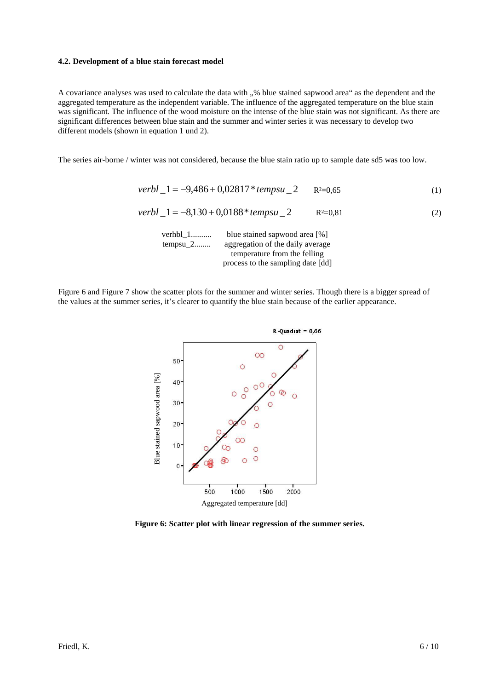#### **4.2. Development of a blue stain forecast model**

A covariance analyses was used to calculate the data with "% blue stained sapwood area" as the dependent and the aggregated temperature as the independent variable. The influence of the aggregated temperature on the blue stain was significant. The influence of the wood moisture on the intense of the blue stain was not significant. As there are significant differences between blue stain and the summer and winter series it was necessary to develop two different models (shown in equation 1 und 2).

The series air-borne / winter was not considered, because the blue stain ratio up to sample date sd5 was too low.

$$
verbl_1 = -9,486 + 0,02817 * tempsu_2 \t R2=0,65
$$
 (1)

$$
verbl_1 = -8,130 + 0,0188*tempsu_2
$$
 R<sup>2</sup>=0,81 (2)

| verhbl $1$ | blue stained sapwood area [%]     |
|------------|-----------------------------------|
| $tempsu_2$ | aggregation of the daily average  |
|            | temperature from the felling      |
|            | process to the sampling date [dd] |

Figure 6 and Figure 7 show the scatter plots for the summer and winter series. Though there is a bigger spread of the values at the summer series, it's clearer to quantify the blue stain because of the earlier appearance.



**Figure 6: Scatter plot with linear regression of the summer series.**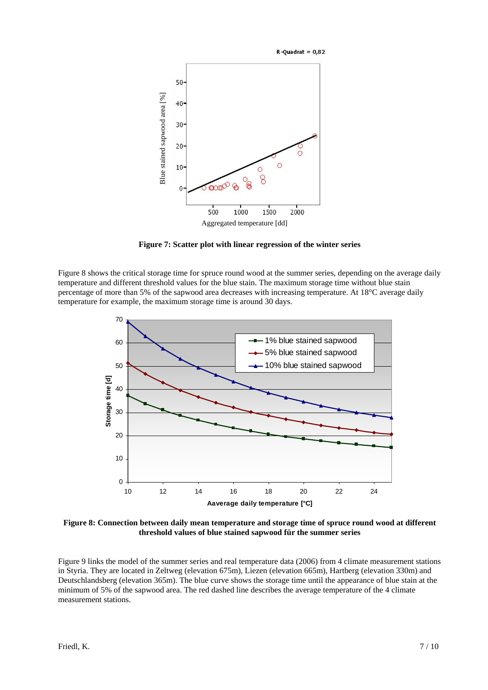

**Figure 7: Scatter plot with linear regression of the winter series**

Figure 8 shows the critical storage time for spruce round wood at the summer series, depending on the average daily temperature and different threshold values for the blue stain. The maximum storage time without blue stain percentage of more than 5% of the sapwood area decreases with increasing temperature. At 18°C average daily temperature for example, the maximum storage time is around 30 days.



**Figure 8: Connection between daily mean temperature and storage time of spruce round wood at different threshold values of blue stained sapwood für the summer series**

Figure 9 links the model of the summer series and real temperature data (2006) from 4 climate measurement stations in Styria. They are located in Zeltweg (elevation 675m), Liezen (elevation 665m), Hartberg (elevation 330m) and Deutschlandsberg (elevation 365m). The blue curve shows the storage time until the appearance of blue stain at the minimum of 5% of the sapwood area. The red dashed line describes the average temperature of the 4 climate measurement stations.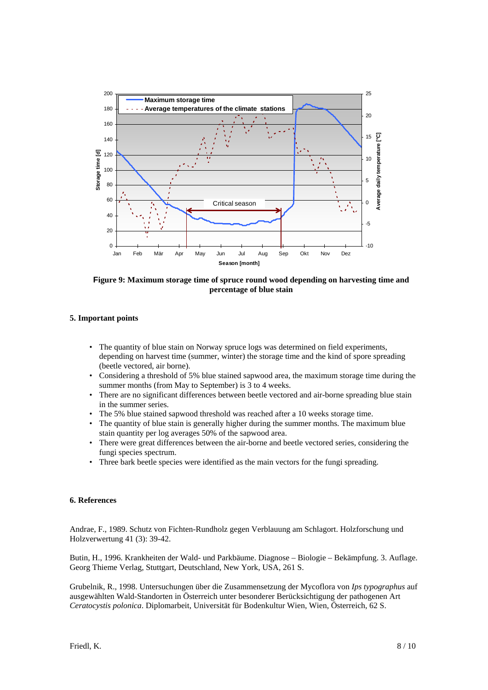

**Figure 9: Maximum storage time of spruce round wood depending on harvesting time and percentage of blue stain** 

# **5. Important points**

- The quantity of blue stain on Norway spruce logs was determined on field experiments, depending on harvest time (summer, winter) the storage time and the kind of spore spreading (beetle vectored, air borne).
- Considering a threshold of 5% blue stained sapwood area, the maximum storage time during the summer months (from May to September) is 3 to 4 weeks.
- There are no significant differences between beetle vectored and air-borne spreading blue stain in the summer series.
- The 5% blue stained sapwood threshold was reached after a 10 weeks storage time.
- The quantity of blue stain is generally higher during the summer months. The maximum blue stain quantity per log averages 50% of the sapwood area.
- There were great differences between the air-borne and beetle vectored series, considering the fungi species spectrum.
- Three bark beetle species were identified as the main vectors for the fungi spreading.

### **6. References**

Andrae, F., 1989. Schutz von Fichten-Rundholz gegen Verblauung am Schlagort. Holzforschung und Holzverwertung 41 (3): 39-42.

Butin, H., 1996. Krankheiten der Wald- und Parkbäume. Diagnose – Biologie – Bekämpfung. 3. Auflage. Georg Thieme Verlag, Stuttgart, Deutschland, New York, USA, 261 S.

Grubelnik, R., 1998. Untersuchungen über die Zusammensetzung der Mycoflora von *Ips typographus* auf ausgewählten Wald-Standorten in Österreich unter besonderer Berücksichtigung der pathogenen Art *Ceratocystis polonica*. Diplomarbeit, Universität für Bodenkultur Wien, Wien, Österreich, 62 S.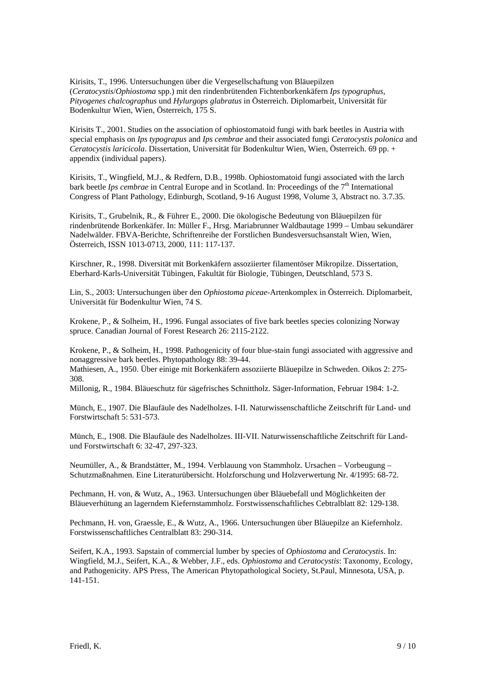Kirisits, T., 1996. Untersuchungen über die Vergesellschaftung von Bläuepilzen (*Ceratocystis*/*Ophiostoma* spp.) mit den rindenbrütenden Fichtenborkenkäfern *Ips typographus*, *Pityogenes chalcographus* und *Hylurgops glabratus* in Österreich. Diplomarbeit, Universität für Bodenkultur Wien, Wien, Österreich, 175 S.

Kirisits T., 2001. Studies on the association of ophiostomatoid fungi with bark beetles in Austria with special emphasis on *Ips typograpus* and *Ips cembrae* and their associated fungi *Ceratocystis polonica* and *Ceratocystis laricicola*. Dissertation, Universität für Bodenkultur Wien, Wien, Österreich. 69 pp. + appendix (individual papers).

Kirisits, T., Wingfield, M.J., & Redfern, D.B., 1998b. Ophiostomatoid fungi associated with the larch bark beetle *Ips cembrae* in Central Europe and in Scotland. In: Proceedings of the 7<sup>th</sup> International Congress of Plant Pathology, Edinburgh, Scotland, 9-16 August 1998, Volume 3, Abstract no. 3.7.35.

Kirisits, T., Grubelnik, R., & Führer E., 2000. Die ökologische Bedeutung von Bläuepilzen für rindenbrütende Borkenkäfer. In: Müller F., Hrsg. Mariabrunner Waldbautage 1999 – Umbau sekundärer Nadelwälder. FBVA-Berichte, Schriftenreihe der Forstlichen Bundesversuchsanstalt Wien, Wien, Österreich, ISSN 1013-0713, 2000, 111: 117-137.

Kirschner, R., 1998. Diversität mit Borkenkäfern assoziierter filamentöser Mikropilze. Dissertation, Eberhard-Karls-Universität Tübingen, Fakultät für Biologie, Tübingen, Deutschland, 573 S.

Lin, S., 2003: Untersuchungen über den *Ophiostoma piceae*-Artenkomplex in Österreich. Diplomarbeit, Universität für Bodenkultur Wien, 74 S.

Krokene, P., & Solheim, H., 1996. Fungal associates of five bark beetles species colonizing Norway spruce. Canadian Journal of Forest Research 26: 2115-2122.

Krokene, P., & Solheim, H., 1998. Pathogenicity of four blue-stain fungi associated with aggressive and nonaggressive bark beetles. Phytopathology 88: 39-44.

Mathiesen, A., 1950. Über einige mit Borkenkäfern assoziierte Bläuepilze in Schweden. Oikos 2: 275- 308.

Millonig, R., 1984. Bläueschutz für sägefrisches Schnittholz. Säger-Information, Februar 1984: 1-2.

Münch, E., 1907. Die Blaufäule des Nadelholzes. I-II. Naturwissenschaftliche Zeitschrift für Land- und Forstwirtschaft 5: 531-573.

Münch, E., 1908. Die Blaufäule des Nadelholzes. III-VII. Naturwissenschaftliche Zeitschrift für Landund Forstwirtschaft 6: 32-47, 297-323.

Neumüller, A., & Brandstätter, M., 1994. Verblauung von Stammholz. Ursachen – Vorbeugung – Schutzmaßnahmen. Eine Literaturübersicht. Holzforschung und Holzverwertung Nr. 4/1995: 68-72.

Pechmann, H. von, & Wutz, A., 1963. Untersuchungen über Bläuebefall und Möglichkeiten der Bläueverhütung an lagerndem Kiefernstammholz. Forstwissenschaftliches Cebtralblatt 82: 129-138.

Pechmann, H. von, Graessle, E., & Wutz, A., 1966. Untersuchungen über Bläuepilze an Kiefernholz. Forstwissenschaftliches Centralblatt 83: 290-314.

Seifert, K.A., 1993. Sapstain of commercial lumber by species of *Ophiostoma* and *Ceratocystis*. In: Wingfield, M.J., Seifert, K.A., & Webber, J.F., eds. *Ophiostoma* and *Ceratocystis*: Taxonomy, Ecology, and Pathogenicity. APS Press, The American Phytopathological Society, St.Paul, Minnesota, USA, p. 141-151.